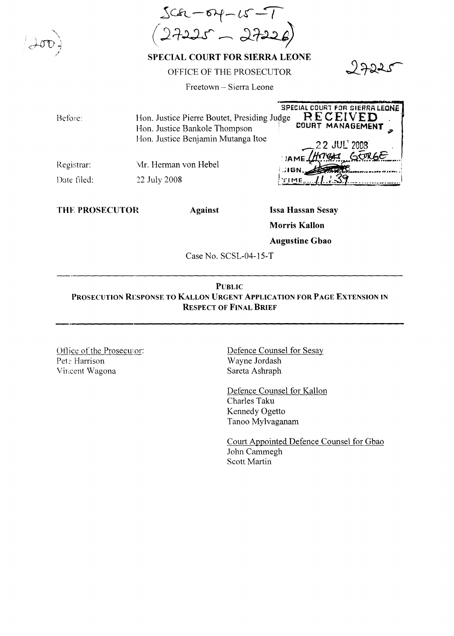$3ca - 64 - 15 - 7$ <br> $2725 - 2722$ 

SPECIAL COURT FOR SIERRA LEONE

## OFFICE OF THE PROSECUTOR

Freetown - Sierra Leone

| Before:     | Hon. Justice Pierre Boutet, Presiding Judge<br>Hon. Justice Bankole Thompson<br>Hon. Justice Benjamin Mutanga Itoe | SPECIAL COURT FOR SIERRA LEONE<br>RECEIVED<br>COURT MANAGEMENT |
|-------------|--------------------------------------------------------------------------------------------------------------------|----------------------------------------------------------------|
| Registrar:  | Mr. Herman von Hebel                                                                                               | 22 JUL 2008                                                    |
| Date filed: | 22 July 2008                                                                                                       | LIGN.                                                          |

THE PROSECUTOR

**Against** 

**Issa Hassan Sesay Morris Kallon Augustine Gbao** 

Case No. SCSL-04-15-T

## **PUBLIC** PROSECUTION RESPONSE TO KALLON URGENT APPLICATION FOR PAGE EXTENSION IN **RESPECT OF FINAL BRIEF**

Office of the Prosecutor: Pete Harrison Vincent Wagona

Defence Counsel for Sesay Wayne Jordash Sareta Ashraph

Defence Counsel for Kallon Charles Taku Kennedy Ogetto Tanoo Mylvaganam

Court Appointed Defence Counsel for Gbao John Cammegh Scott Martin